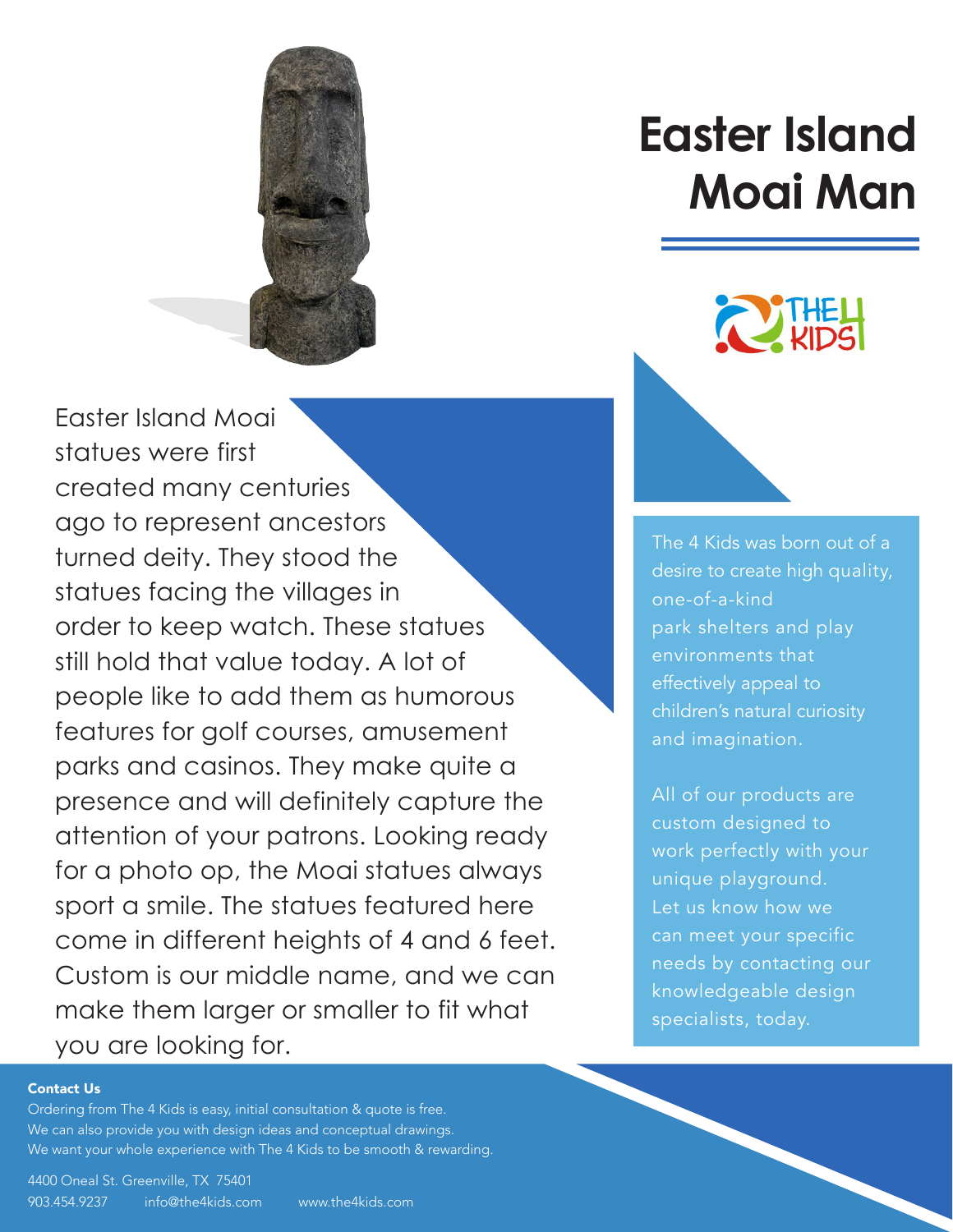

Easter Island Moai statues were first created many centuries ago to represent ancestors turned deity. They stood the statues facing the villages in order to keep watch. These statues still hold that value today. A lot of people like to add them as humorous features for golf courses, amusement parks and casinos. They make quite a presence and will definitely capture the attention of your patrons. Looking ready for a photo op, the Moai statues always sport a smile. The statues featured here come in different heights of 4 and 6 feet. [Custom is our middle name, and we can](https://www.the4kids.com/product/easter-island-moai-man.html)  make them larger or smaller to fit what you are looking for.

# **[Easter Island](https://www.the4kids.com/products/archaeological-adventures/)  Moai Man**

The 4 Kids was born out of a [desire to create high quality,](https://www.the4kids.com/about.html)  one-of-a-kind park shelters and play environments that effectively appeal to children's natural curiosity and imagination.

All of our products are custom designed to work perfectly with your unique playground. Let us know how we can meet your specific needs by contacting our knowledgeable design specialists, today.

#### [Contact Us](https://www.the4kids.com/contact-us.html)

Ordering from [The 4 Kids](https://www.the4kids.com/) is easy, initial consultation & quote is free. We can also provide you with design ideas and conceptual drawings. We want your whole experience wit[h The 4 Kids](https://www.the4kids.com/) to be smooth & rewarding.

[4400 Oneal St. Greenville, TX 75401](https://www.the4kids.com/contact-us.html) [903.454.9237](https://www.the4kids.com/contact-us.html) [info@the4kids.com](mailto:info%40the4kids.com?subject=) [www.the4kids.com](https://www.the4kids.com/)